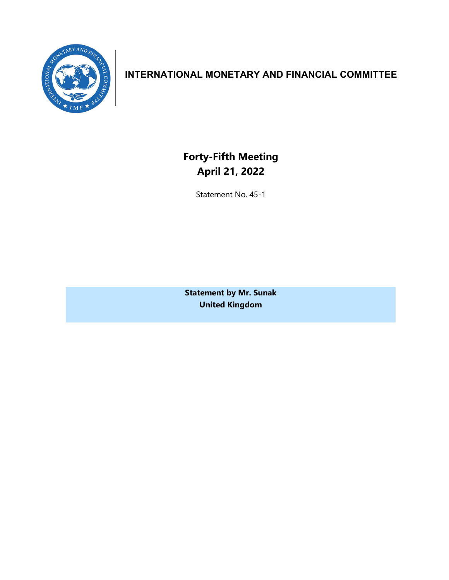

# **INTERNATIONAL MONETARY AND FINANCIAL COMMITTEE**

**Forty-Fifth Meeting April 21, 2022**

Statement No. 45-1

**Statement by Mr. Sunak United Kingdom**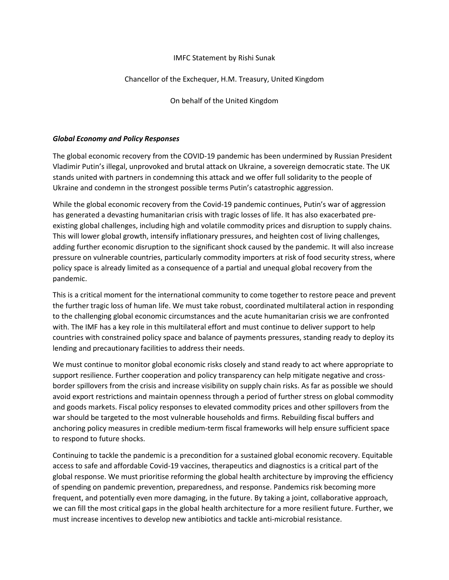#### IMFC Statement by Rishi Sunak

#### Chancellor of the Exchequer, H.M. Treasury, United Kingdom

On behalf of the United Kingdom

#### *Global Economy and Policy Responses*

The global economic recovery from the COVID-19 pandemic has been undermined by Russian President Vladimir Putin's illegal, unprovoked and brutal attack on Ukraine, a sovereign democratic state. The UK stands united with partners in condemning this attack and we offer full solidarity to the people of Ukraine and condemn in the strongest possible terms Putin's catastrophic aggression.

While the global economic recovery from the Covid-19 pandemic continues, Putin's war of aggression has generated a devasting humanitarian crisis with tragic losses of life. It has also exacerbated preexisting global challenges, including high and volatile commodity prices and disruption to supply chains. This will lower global growth, intensify inflationary pressures, and heighten cost of living challenges, adding further economic disruption to the significant shock caused by the pandemic. It will also increase pressure on vulnerable countries, particularly commodity importers at risk of food security stress, where policy space is already limited as a consequence of a partial and unequal global recovery from the pandemic.

This is a critical moment for the international community to come together to restore peace and prevent the further tragic loss of human life. We must take robust, coordinated multilateral action in responding to the challenging global economic circumstances and the acute humanitarian crisis we are confronted with. The IMF has a key role in this multilateral effort and must continue to deliver support to help countries with constrained policy space and balance of payments pressures, standing ready to deploy its lending and precautionary facilities to address their needs.

We must continue to monitor global economic risks closely and stand ready to act where appropriate to support resilience. Further cooperation and policy transparency can help mitigate negative and crossborder spillovers from the crisis and increase visibility on supply chain risks. As far as possible we should avoid export restrictions and maintain openness through a period of further stress on global commodity and goods markets. Fiscal policy responses to elevated commodity prices and other spillovers from the war should be targeted to the most vulnerable households and firms. Rebuilding fiscal buffers and anchoring policy measures in credible medium-term fiscal frameworks will help ensure sufficient space to respond to future shocks.

Continuing to tackle the pandemic is a precondition for a sustained global economic recovery. Equitable access to safe and affordable Covid-19 vaccines, therapeutics and diagnostics is a critical part of the global response. We must prioritise reforming the global health architecture by improving the efficiency of spending on pandemic prevention, preparedness, and response. Pandemics risk becoming more frequent, and potentially even more damaging, in the future. By taking a joint, collaborative approach, we can fill the most critical gaps in the global health architecture for a more resilient future. Further, we must increase incentives to develop new antibiotics and tackle anti-microbial resistance.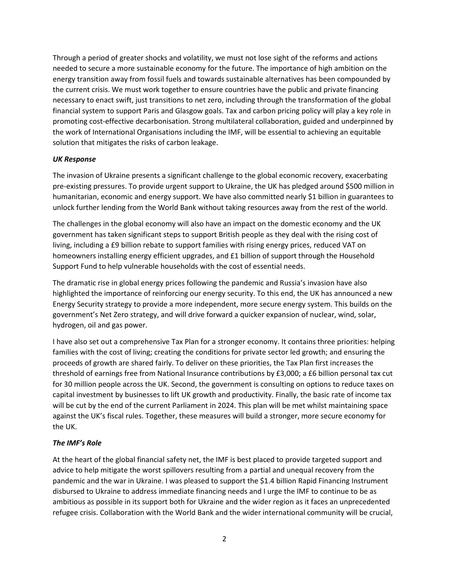Through a period of greater shocks and volatility, we must not lose sight of the reforms and actions needed to secure a more sustainable economy for the future. The importance of high ambition on the energy transition away from fossil fuels and towards sustainable alternatives has been compounded by the current crisis. We must work together to ensure countries have the public and private financing necessary to enact swift, just transitions to net zero, including through the transformation of the global financial system to support Paris and Glasgow goals. Tax and carbon pricing policy will play a key role in promoting cost-effective decarbonisation. Strong multilateral collaboration, guided and underpinned by the work of International Organisations including the IMF, will be essential to achieving an equitable solution that mitigates the risks of carbon leakage.

### *UK Response*

The invasion of Ukraine presents a significant challenge to the global economic recovery, exacerbating pre-existing pressures. To provide urgent support to Ukraine, the UK has pledged around \$500 million in humanitarian, economic and energy support. We have also committed nearly \$1 billion in guarantees to unlock further lending from the World Bank without taking resources away from the rest of the world.

The challenges in the global economy will also have an impact on the domestic economy and the UK government has taken significant steps to support British people as they deal with the rising cost of living, including a £9 billion rebate to support families with rising energy prices, reduced VAT on homeowners installing energy efficient upgrades, and £1 billion of support through the Household Support Fund to help vulnerable households with the cost of essential needs.

The dramatic rise in global energy prices following the pandemic and Russia's invasion have also highlighted the importance of reinforcing our energy security. To this end, the UK has announced a new Energy Security strategy to provide a more independent, more secure energy system. This builds on the government's Net Zero strategy, and will drive forward a quicker expansion of nuclear, wind, solar, hydrogen, oil and gas power.

I have also set out a comprehensive Tax Plan for a stronger economy. It contains three priorities: helping families with the cost of living; creating the conditions for private sector led growth; and ensuring the proceeds of growth are shared fairly. To deliver on these priorities, the Tax Plan first increases the threshold of earnings free from National Insurance contributions by £3,000; a £6 billion personal tax cut for 30 million people across the UK. Second, the government is consulting on options to reduce taxes on capital investment by businesses to lift UK growth and productivity. Finally, the basic rate of income tax will be cut by the end of the current Parliament in 2024. This plan will be met whilst maintaining space against the UK's fiscal rules. Together, these measures will build a stronger, more secure economy for the UK.

## *The IMF's Role*

At the heart of the global financial safety net, the IMF is best placed to provide targeted support and advice to help mitigate the worst spillovers resulting from a partial and unequal recovery from the pandemic and the war in Ukraine. I was pleased to support the \$1.4 billion Rapid Financing Instrument disbursed to Ukraine to address immediate financing needs and I urge the IMF to continue to be as ambitious as possible in its support both for Ukraine and the wider region as it faces an unprecedented refugee crisis. Collaboration with the World Bank and the wider international community will be crucial,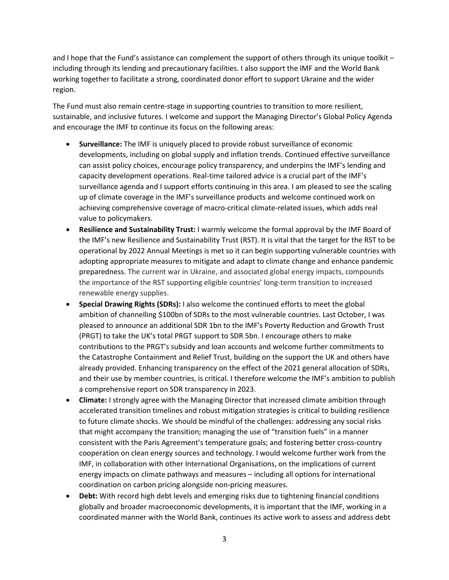and I hope that the Fund's assistance can complement the support of others through its unique toolkit – including through its lending and precautionary facilities. I also support the IMF and the World Bank working together to facilitate a strong, coordinated donor effort to support Ukraine and the wider region.

The Fund must also remain centre-stage in supporting countries to transition to more resilient, sustainable, and inclusive futures. I welcome and support the Managing Director's Global Policy Agenda and encourage the IMF to continue its focus on the following areas:

- **Surveillance:** The IMF is uniquely placed to provide robust surveillance of economic developments, including on global supply and inflation trends. Continued effective surveillance can assist policy choices, encourage policy transparency, and underpins the IMF's lending and capacity development operations. Real-time tailored advice is a crucial part of the IMF's surveillance agenda and I support efforts continuing in this area. I am pleased to see the scaling up of climate coverage in the IMF's surveillance products and welcome continued work on achieving comprehensive coverage of macro-critical climate-related issues, which adds real value to policymakers.
- **Resilience and Sustainability Trust:** I warmly welcome the formal approval by the IMF Board of the IMF's new Resilience and Sustainability Trust (RST). It is vital that the target for the RST to be operational by 2022 Annual Meetings is met so it can begin supporting vulnerable countries with adopting appropriate measures to mitigate and adapt to climate change and enhance pandemic preparedness. The current war in Ukraine, and associated global energy impacts, compounds the importance of the RST supporting eligible countries' long-term transition to increased renewable energy supplies.
- **Special Drawing Rights (SDRs):** I also welcome the continued efforts to meet the global ambition of channelling \$100bn of SDRs to the most vulnerable countries. Last October, I was pleased to announce an additional SDR 1bn to the IMF's Poverty Reduction and Growth Trust (PRGT) to take the UK's total PRGT support to SDR 5bn. I encourage others to make contributions to the PRGT's subsidy and loan accounts and welcome further commitments to the Catastrophe Containment and Relief Trust, building on the support the UK and others have already provided. Enhancing transparency on the effect of the 2021 general allocation of SDRs, and their use by member countries, is critical. I therefore welcome the IMF's ambition to publish a comprehensive report on SDR transparency in 2023.
- **Climate:** I strongly agree with the Managing Director that increased climate ambition through accelerated transition timelines and robust mitigation strategies is critical to building resilience to future climate shocks. We should be mindful of the challenges: addressing any social risks that might accompany the transition; managing the use of "transition fuels" in a manner consistent with the Paris Agreement's temperature goals; and fostering better cross-country cooperation on clean energy sources and technology. I would welcome further work from the IMF, in collaboration with other International Organisations, on the implications of current energy impacts on climate pathways and measures – including all options for international coordination on carbon pricing alongside non-pricing measures.
- **Debt:** With record high debt levels and emerging risks due to tightening financial conditions globally and broader macroeconomic developments, it is important that the IMF, working in a coordinated manner with the World Bank, continues its active work to assess and address debt